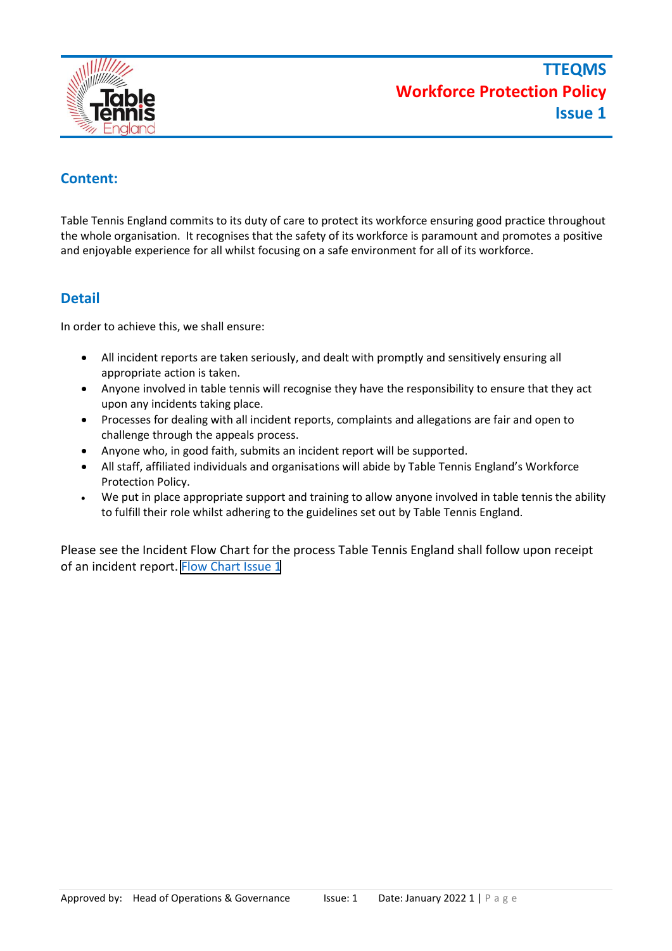

## **Content:**

Table Tennis England commits to its duty of care to protect its workforce ensuring good practice throughout the whole organisation. It recognises that the safety of its workforce is paramount and promotes a positive and enjoyable experience for all whilst focusing on a safe environment for all of its workforce.

## **Detail**

In order to achieve this, we shall ensure:

- All incident reports are taken seriously, and dealt with promptly and sensitively ensuring all appropriate action is taken.
- Anyone involved in table tennis will recognise they have the responsibility to ensure that they act upon any incidents taking place.
- Processes for dealing with all incident reports, complaints and allegations are fair and open to challenge through the appeals process.
- Anyone who, in good faith, submits an incident report will be supported.
- All staff, affiliated individuals and organisations will abide by Table Tennis England's Workforce Protection Policy.
- We put in place appropriate support and training to allow anyone involved in table tennis the ability to fulfill their role whilst adhering to the guidelines set out by Table Tennis England.

Please see the Incident Flow Chart for the process Table Tennis England shall follow upon receipt of an incident report. Flow Cha[rt Issue 1](https://cdn.jaskc.re/file/production-media/table-tennis-england/uploads/2022/04/Workforce-Protection-Policy-FlowChart.pdf)